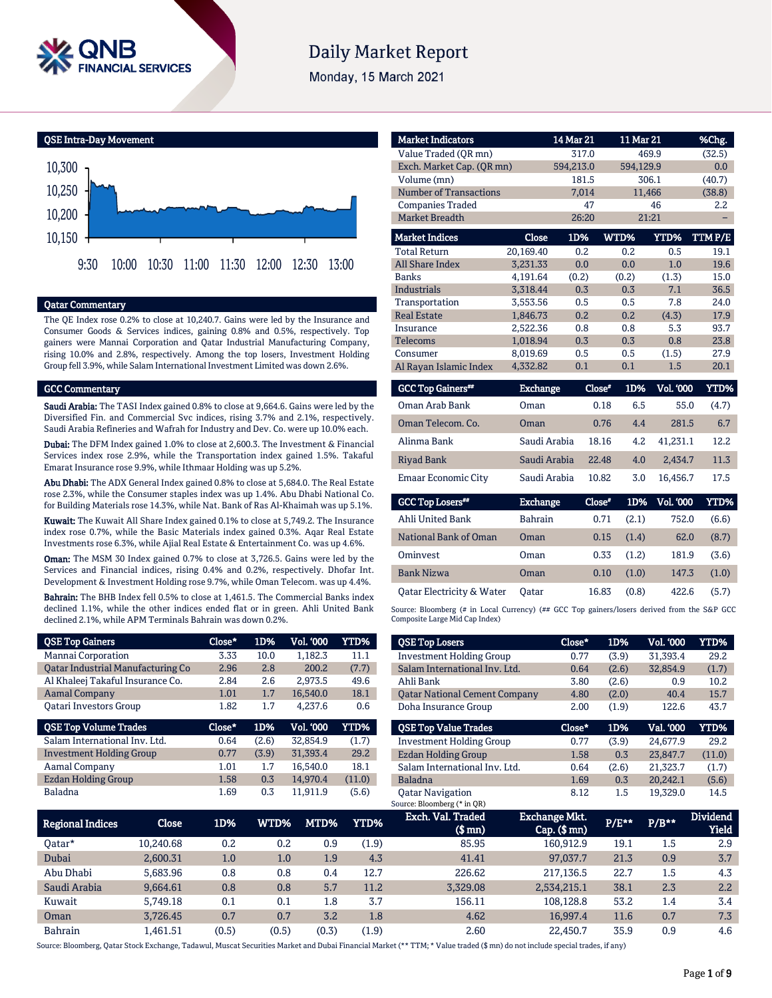

# **Daily Market Report**

Monday, 15 March 2021

QSE Intra-Day Movement



# Qatar Commentary

The QE Index rose 0.2% to close at 10,240.7. Gains were led by the Insurance and Consumer Goods & Services indices, gaining 0.8% and 0.5%, respectively. Top gainers were Mannai Corporation and Qatar Industrial Manufacturing Company, rising 10.0% and 2.8%, respectively. Among the top losers, Investment Holding Group fell 3.9%, while Salam International Investment Limited was down 2.6%.

#### GCC Commentary

Saudi Arabia: The TASI Index gained 0.8% to close at 9,664.6. Gains were led by the Diversified Fin. and Commercial Svc indices, rising 3.7% and 2.1%, respectively. Saudi Arabia Refineries and Wafrah for Industry and Dev. Co. were up 10.0% each.

Dubai: The DFM Index gained 1.0% to close at 2,600.3. The Investment & Financial Services index rose 2.9%, while the Transportation index gained 1.5%. Takaful Emarat Insurance rose 9.9%, while Ithmaar Holding was up 5.2%.

Abu Dhabi: The ADX General Index gained 0.8% to close at 5,684.0. The Real Estate rose 2.3%, while the Consumer staples index was up 1.4%. Abu Dhabi National Co. for Building Materials rose 14.3%, while Nat. Bank of Ras Al-Khaimah was up 5.1%.

Kuwait: The Kuwait All Share Index gained 0.1% to close at 5,749.2. The Insurance index rose 0.7%, while the Basic Materials index gained 0.3%. Aqar Real Estate Investments rose 6.3%, while Ajial Real Estate & Entertainment Co. was up 4.6%.

Oman: The MSM 30 Index gained 0.7% to close at 3,726.5. Gains were led by the Services and Financial indices, rising 0.4% and 0.2%, respectively. Dhofar Int. Development & Investment Holding rose 9.7%, while Oman Telecom. was up 4.4%.

Bahrain: The BHB Index fell 0.5% to close at 1,461.5. The Commercial Banks index declined 1.1%, while the other indices ended flat or in green. Ahli United Bank declined 2.1%, while APM Terminals Bahrain was down 0.2%.

| <b>QSE Top Gainers</b>                   | Close* | 1D%   | <b>Vol. '000</b> | YTD%   |
|------------------------------------------|--------|-------|------------------|--------|
| Mannai Corporation                       | 3.33   | 10.0  | 1,182.3          | 11.1   |
| <b>Qatar Industrial Manufacturing Co</b> | 2.96   | 2.8   | 200.2            | (7.7)  |
| Al Khaleej Takaful Insurance Co.         | 2.84   | 2.6   | 2,973.5          | 49.6   |
| <b>Aamal Company</b>                     | 1.01   | 1.7   | 16,540.0         | 18.1   |
| <b>Oatari Investors Group</b>            | 1.82   | 1.7   | 4,237.6          | 0.6    |
|                                          |        |       |                  |        |
| <b>QSE Top Volume Trades</b>             | Close* | 1D%   | <b>Vol. '000</b> | YTD%   |
| Salam International Inv. Ltd.            | 0.64   | (2.6) | 32.854.9         | (1.7)  |
| <b>Investment Holding Group</b>          | 0.77   | (3.9) | 31,393.4         | 29.2   |
| Aamal Company                            | 1.01   | 1.7   | 16,540.0         | 18.1   |
| <b>Ezdan Holding Group</b>               | 1.58   | 0.3   | 14,970.4         | (11.0) |

| <b>Market Indicators</b>  |           | 14 Mar 21 | 11 Mar 21 |        | %Chg.  |
|---------------------------|-----------|-----------|-----------|--------|--------|
| Value Traded (OR mn)      |           | 317.0     |           | 469.9  | (32.5) |
| Exch. Market Cap. (QR mn) |           | 594,213.0 | 594,129.9 |        | 0.0    |
| Volume (mn)               |           | 181.5     |           | 306.1  | (40.7) |
| Number of Transactions    |           | 7,014     |           | 11,466 | (38.8) |
| <b>Companies Traded</b>   |           | 47        |           | 46     | 2.2    |
| <b>Market Breadth</b>     |           | 26:20     |           | 21:21  |        |
| <b>Market Indices</b>     | Close     | 1D%       | WTD%      | YTD%   | TTMP/E |
| <b>Total Return</b>       | 20.169.40 | 0.2       | 0.2       | 0.5    | 19.1   |
| <b>All Share Index</b>    | 3,231.33  | 0.0       | 0.0       | 1.0    | 19.6   |
| <b>Banks</b>              | 4,191.64  | (0.2)     | (0.2)     | (1.3)  | 15.0   |
| <b>Industrials</b>        | 3.318.44  | 0.3       | 0.3       | 7.1    | 36.5   |
| Transportation            | 3.553.56  | 0.5       | 0.5       | 7.8    | 24.0   |
| <b>Real Estate</b>        | 1,846.73  | 0.2       | 0.2       | (4.3)  | 17.9   |
| Insurance                 | 2,522.36  | 0.8       | 0.8       | 5.3    | 93.7   |
| <b>Telecoms</b>           | 1.018.94  | 0.3       | 0.3       | 0.8    | 23.8   |
| Consumer                  | 8.019.69  | 0.5       | 0.5       | (1.5)  | 27.9   |
| Al Rayan Islamic Index    | 4.332.82  | 0.1       | 0.1       | 1.5    | 20.1   |

| <b>GCC Top Gainers</b> " | Exchange     | Close* | 1D% | <b>Vol. '000</b> | YTD%  |
|--------------------------|--------------|--------|-----|------------------|-------|
| Oman Arab Bank           | Oman         | 0.18   | 6.5 | 55.0             | (4.7) |
| Oman Telecom, Co.        | Oman         | 0.76   | 4.4 | 281.5            | 6.7   |
| Alinma Bank              | Saudi Arabia | 18.16  | 4.2 | 41.231.1         | 12.2  |
| Riyad Bank               | Saudi Arabia | 22.48  | 4.0 | 2.434.7          | 11.3  |
| Emaar Economic City      | Saudi Arabia | 10.82  | 3.0 | 16.456.7         | 17.5  |

| <b>GCC Top Losers</b>     | <b>Exchange</b> | Close* | 1D%   | Vol. '000 ' | YTD%  |
|---------------------------|-----------------|--------|-------|-------------|-------|
| Ahli United Bank          | <b>Bahrain</b>  | 0.71   | (2.1) | 752.0       | (6.6) |
| National Bank of Oman     | Oman            | 0.15   | (1.4) | 62.0        | (8.7) |
| Ominyest                  | Oman            | 0.33   | (1.2) | 181.9       | (3.6) |
| <b>Bank Nizwa</b>         | Oman            | 0.10   | (1.0) | 147.3       | (1.0) |
| Oatar Electricity & Water | Oatar           | 16.83  | (0.8) | 422.6       | (5.7) |

Source: Bloomberg (# in Local Currency) (## GCC Top gainers/losers derived from the S&P GCC Composite Large Mid Cap Index)

| <b>QSE Top Losers</b>                | Close* | 1D%   | <b>Vol. '000</b> | <b>YTD%</b> |
|--------------------------------------|--------|-------|------------------|-------------|
| <b>Investment Holding Group</b>      | 0.77   | (3.9) | 31.393.4         | 29.2        |
| Salam International Inv. Ltd.        | 0.64   | (2.6) | 32.854.9         | (1.7)       |
| Ahli Bank                            | 3.80   | (2.6) | 0.9              | 10.2        |
| <b>Qatar National Cement Company</b> | 4.80   | (2.0) | 40.4             | 15.7        |
| Doha Insurance Group                 | 2.00   | (1.9) | 122.6            | 43.7        |
|                                      |        |       |                  |             |
|                                      |        |       |                  |             |
| <b>QSE Top Value Trades</b>          | Close* | 1D%   | Val. '000        | <b>YTD%</b> |
| <b>Investment Holding Group</b>      | 0.77   | (3.9) | 24.677.9         | 29.2        |
| Ezdan Holding Group                  | 1.58   | 0.3   | 23.847.7         | (11.0)      |
| Salam International Inv. Ltd.        | 0.64   | (2.6) | 21.323.7         | (1.7)       |
| Baladna                              | 1.69   | 0.3   | 20.242.1         | (5.6)       |
| <b>Oatar Navigation</b>              | 8.12   | 1.5   | 19.329.0         | 14.5        |

|                         |              |       |       |         |             | $\sim$                          |                                           |         |         |                                 |
|-------------------------|--------------|-------|-------|---------|-------------|---------------------------------|-------------------------------------------|---------|---------|---------------------------------|
| <b>Regional Indices</b> | <b>Close</b> | 1D%   | WTD%  | MTD%    | <b>YTD%</b> | Exch. Val. Traded<br>$$$ mn $)$ | <b>Exchange Mkt.</b><br>$Cap.$ (\$ $mn$ ) | $P/E**$ | $P/B**$ | <b>Dividend</b><br><b>Yield</b> |
| 0atar*                  | 10.240.68    | 0.2   | 0.2   | 0.9     | (1.9)       | 85.95                           | 160.912.9                                 | 19.1    | 1.5     | 2.9                             |
| Dubai                   | 2,600.31     | 1.0   | 1.0   | 1.9     | 4.3         | 41.41                           | 97,037.7                                  | 21.3    | 0.9     | 3.7                             |
| Abu Dhabi               | 5.683.96     | 0.8   | 0.8   | 0.4     | 12.7        | 226.62                          | 217,136.5                                 | 22.7    | 1.5     | 4.3                             |
| Saudi Arabia            | 9,664.61     | 0.8   | 0.8   | 5.7     | 11.2        | 3,329.08                        | 2,534,215.1                               | 38.1    | 2.3     | 2.2                             |
| Kuwait                  | 5.749.18     | 0.1   | 0.1   | $1.8\,$ | 3.7         | 156.11                          | 108.128.8                                 | 53.2    | 1.4     | 3.4                             |
| Oman                    | 3.726.45     | 0.7   | 0.7   | 3.2     | 1.8         | 4.62                            | 16.997.4                                  | 11.6    | 0.7     | 7.3                             |
| Bahrain                 | 1,461.51     | (0.5) | (0.5) | (0.3)   | (1.9)       | 2.60                            | 22.450.7                                  | 35.9    | 0.9     | 4.6                             |

Source: Bloomberg, Qatar Stock Exchange, Tadawul, Muscat Securities Market and Dubai Financial Market (\*\* TTM; \* Value traded (\$ mn) do not include special trades, if any)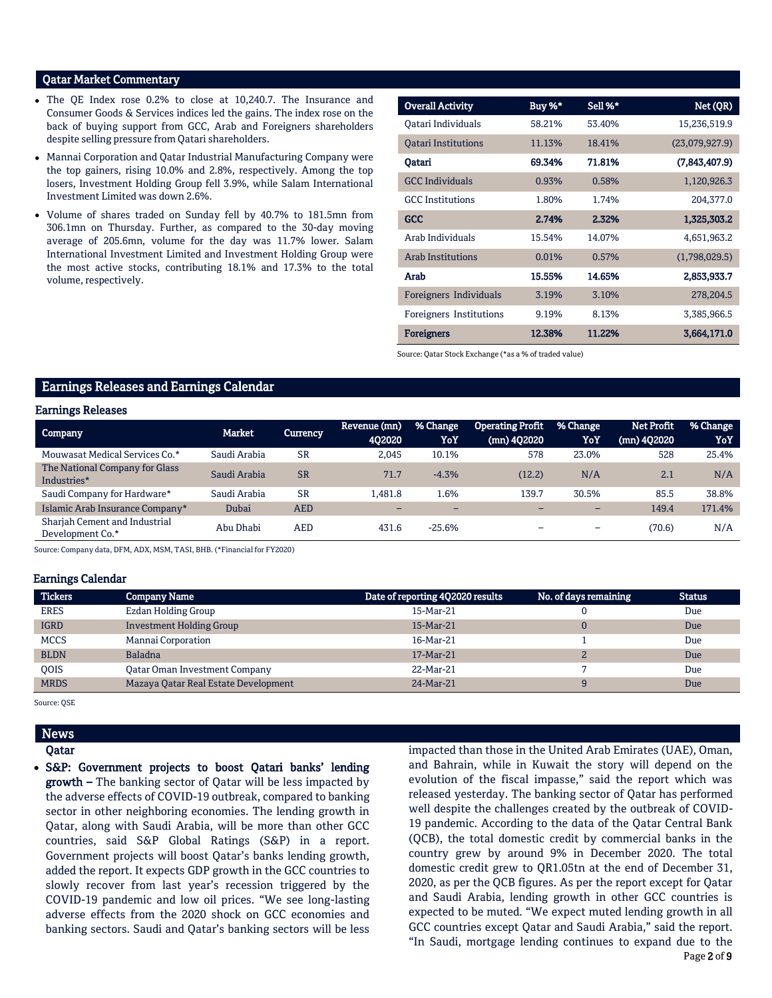# Qatar Market Commentary

- The QE Index rose 0.2% to close at 10,240.7. The Insurance and Consumer Goods & Services indices led the gains. The index rose on the back of buying support from GCC, Arab and Foreigners shareholders despite selling pressure from Qatari shareholders.
- Mannai Corporation and Qatar Industrial Manufacturing Company were the top gainers, rising 10.0% and 2.8%, respectively. Among the top losers, Investment Holding Group fell 3.9%, while Salam International Investment Limited was down 2.6%.
- Volume of shares traded on Sunday fell by 40.7% to 181.5mn from 306.1mn on Thursday. Further, as compared to the 30-day moving average of 205.6mn, volume for the day was 11.7% lower. Salam International Investment Limited and Investment Holding Group were the most active stocks, contributing 18.1% and 17.3% to the total volume, respectively.

| <b>Overall Activity</b>    | Buy %* | Sell %* | Net (QR)       |
|----------------------------|--------|---------|----------------|
| Oatari Individuals         | 58.21% | 53.40%  | 15,236,519.9   |
| <b>Oatari Institutions</b> | 11.13% | 18.41%  | (23,079,927.9) |
| Oatari                     | 69.34% | 71.81%  | (7,843,407.9)  |
| <b>GCC</b> Individuals     | 0.93%  | 0.58%   | 1,120,926.3    |
| <b>GCC</b> Institutions    | 1.80%  | 1.74%   | 204,377.0      |
| <b>GCC</b>                 | 2.74%  | 2.32%   | 1,325,303.2    |
| Arab Individuals           | 15.54% | 14.07%  | 4,651,963.2    |
| <b>Arab Institutions</b>   | 0.01%  | 0.57%   | (1,798,029.5)  |
| Arab                       | 15.55% | 14.65%  | 2,853,933.7    |
| Foreigners Individuals     | 3.19%  | 3.10%   | 278,204.5      |
| Foreigners Institutions    | 9.19%  | 8.13%   | 3,385,966.5    |
| <b>Foreigners</b>          | 12.38% | 11.22%  | 3,664,171.0    |

Source: Qatar Stock Exchange (\*as a % of traded value)

# Earnings Releases and Earnings Calendar

### Earnings Releases

| -<br><b>Company</b>                               | Market       | <b>Currency</b> | Revenue (mn)<br>402020 | % Change<br>YoY          | <b>Operating Profit</b><br>(mn) 4Q2020 | % Change<br>YoY          | <b>Net Profit</b><br>(mn) 4Q2020 | % Change<br>YoY |
|---------------------------------------------------|--------------|-----------------|------------------------|--------------------------|----------------------------------------|--------------------------|----------------------------------|-----------------|
| Mouwasat Medical Services Co.*                    | Saudi Arabia | <b>SR</b>       | 2.045                  | 10.1%                    | 578                                    | 23.0%                    | 528                              | 25.4%           |
| The National Company for Glass<br>Industries*     | Saudi Arabia | <b>SR</b>       | 71.7                   | $-4.3%$                  | (12.2)                                 | N/A                      | 2.1                              | N/A             |
| Saudi Company for Hardware*                       | Saudi Arabia | <b>SR</b>       | 1.481.8                | 1.6%                     | 139.7                                  | 30.5%                    | 85.5                             | 38.8%           |
| Islamic Arab Insurance Company*                   | Dubai        | <b>AED</b>      | -                      | $\overline{\phantom{0}}$ |                                        | $\overline{\phantom{0}}$ | 149.4                            | 171.4%          |
| Sharjah Cement and Industrial<br>Development Co.* | Abu Dhabi    | AED             | 431.6                  | $-25.6%$                 |                                        | $\overline{\phantom{0}}$ | (70.6)                           | N/A             |

Source: Company data, DFM, ADX, MSM, TASI, BHB. (\*Financial for FY2020)

#### Earnings Calendar

| <b>Tickers</b> | <b>Company Name</b>                  | Date of reporting 4Q2020 results | No. of days remaining | <b>Status</b> |
|----------------|--------------------------------------|----------------------------------|-----------------------|---------------|
| <b>ERES</b>    | Ezdan Holding Group                  | 15-Mar-21                        |                       | Due           |
| <b>IGRD</b>    | <b>Investment Holding Group</b>      | 15-Mar-21                        |                       | Due           |
| <b>MCCS</b>    | Mannai Corporation                   | 16-Mar-21                        |                       | Due           |
| <b>BLDN</b>    | <b>Baladna</b>                       | 17-Mar-21                        |                       | Due           |
| <b>OOIS</b>    | <b>Qatar Oman Investment Company</b> | 22-Mar-21                        |                       | Due           |
| <b>MRDS</b>    | Mazaya Qatar Real Estate Development | 24-Mar-21                        |                       | Due           |

Source: QSE

## News

Qatar

• S&P: Government projects to boost Qatari banks' lending growth – The banking sector of Qatar will be less impacted by the adverse effects of COVID-19 outbreak, compared to banking sector in other neighboring economies. The lending growth in Qatar, along with Saudi Arabia, will be more than other GCC countries, said S&P Global Ratings (S&P) in a report. Government projects will boost Qatar's banks lending growth, added the report. It expects GDP growth in the GCC countries to slowly recover from last year's recession triggered by the COVID-19 pandemic and low oil prices. "We see long-lasting adverse effects from the 2020 shock on GCC economies and banking sectors. Saudi and Qatar's banking sectors will be less impacted than those in the United Arab Emirates (UAE), Oman, and Bahrain, while in Kuwait the story will depend on the evolution of the fiscal impasse," said the report which was released yesterday. The banking sector of Qatar has performed well despite the challenges created by the outbreak of COVID-19 pandemic. According to the data of the Qatar Central Bank (QCB), the total domestic credit by commercial banks in the country grew by around 9% in December 2020. The total domestic credit grew to QR1.05tn at the end of December 31, 2020, as per the QCB figures. As per the report except for Qatar and Saudi Arabia, lending growth in other GCC countries is expected to be muted. "We expect muted lending growth in all GCC countries except Qatar and Saudi Arabia," said the report. "In Saudi, mortgage lending continues to expand due to the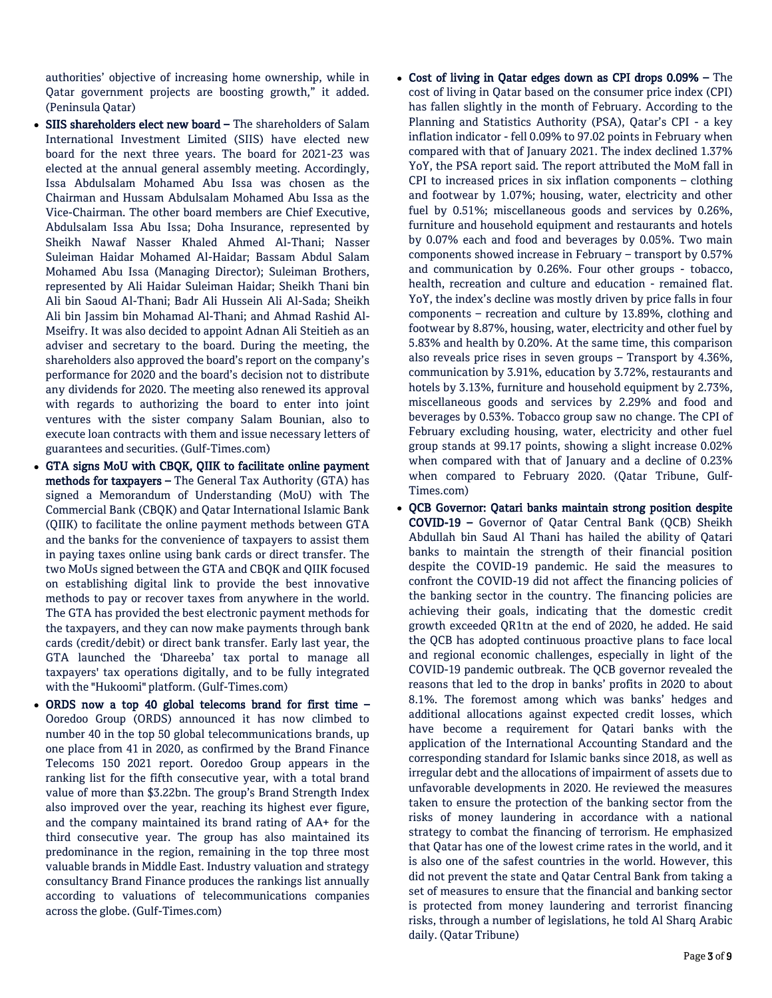authorities' objective of increasing home ownership, while in Qatar government projects are boosting growth," it added. (Peninsula Qatar)

- SIIS shareholders elect new board The shareholders of Salam International Investment Limited (SIIS) have elected new board for the next three years. The board for 2021-23 was elected at the annual general assembly meeting. Accordingly, Issa Abdulsalam Mohamed Abu Issa was chosen as the Chairman and Hussam Abdulsalam Mohamed Abu Issa as the Vice-Chairman. The other board members are Chief Executive, Abdulsalam Issa Abu Issa; Doha Insurance, represented by Sheikh Nawaf Nasser Khaled Ahmed Al-Thani; Nasser Suleiman Haidar Mohamed Al-Haidar; Bassam Abdul Salam Mohamed Abu Issa (Managing Director); Suleiman Brothers, represented by Ali Haidar Suleiman Haidar; Sheikh Thani bin Ali bin Saoud Al-Thani; Badr Ali Hussein Ali Al-Sada; Sheikh Ali bin Jassim bin Mohamad Al-Thani; and Ahmad Rashid Al-Mseifry. It was also decided to appoint Adnan Ali Steitieh as an adviser and secretary to the board. During the meeting, the shareholders also approved the board's report on the company's performance for 2020 and the board's decision not to distribute any dividends for 2020. The meeting also renewed its approval with regards to authorizing the board to enter into joint ventures with the sister company Salam Bounian, also to execute loan contracts with them and issue necessary letters of guarantees and securities. (Gulf-Times.com)
- GTA signs MoU with CBQK, QIIK to facilitate online payment methods for taxpayers – The General Tax Authority (GTA) has signed a Memorandum of Understanding (MoU) with The Commercial Bank (CBQK) and Qatar International Islamic Bank (QIIK) to facilitate the online payment methods between GTA and the banks for the convenience of taxpayers to assist them in paying taxes online using bank cards or direct transfer. The two MoUs signed between the GTA and CBQK and QIIK focused on establishing digital link to provide the best innovative methods to pay or recover taxes from anywhere in the world. The GTA has provided the best electronic payment methods for the taxpayers, and they can now make payments through bank cards (credit/debit) or direct bank transfer. Early last year, the GTA launched the 'Dhareeba' tax portal to manage all taxpayers' tax operations digitally, and to be fully integrated with the "Hukoomi" platform. (Gulf-Times.com)
- ORDS now a top 40 global telecoms brand for first time Ooredoo Group (ORDS) announced it has now climbed to number 40 in the top 50 global telecommunications brands, up one place from 41 in 2020, as confirmed by the Brand Finance Telecoms 150 2021 report. Ooredoo Group appears in the ranking list for the fifth consecutive year, with a total brand value of more than \$3.22bn. The group's Brand Strength Index also improved over the year, reaching its highest ever figure, and the company maintained its brand rating of AA+ for the third consecutive year. The group has also maintained its predominance in the region, remaining in the top three most valuable brands in Middle East. Industry valuation and strategy consultancy Brand Finance produces the rankings list annually according to valuations of telecommunications companies across the globe. (Gulf-Times.com)
- Cost of living in Qatar edges down as CPI drops 0.09% The cost of living in Qatar based on the consumer price index (CPI) has fallen slightly in the month of February. According to the Planning and Statistics Authority (PSA), Qatar's CPI - a key inflation indicator - fell 0.09% to 97.02 points in February when compared with that of January 2021. The index declined 1.37% YoY, the PSA report said. The report attributed the MoM fall in CPI to increased prices in six inflation components – clothing and footwear by 1.07%; housing, water, electricity and other fuel by 0.51%; miscellaneous goods and services by 0.26%, furniture and household equipment and restaurants and hotels by 0.07% each and food and beverages by 0.05%. Two main components showed increase in February – transport by 0.57% and communication by 0.26%. Four other groups - tobacco, health, recreation and culture and education - remained flat. YoY, the index's decline was mostly driven by price falls in four components – recreation and culture by 13.89%, clothing and footwear by 8.87%, housing, water, electricity and other fuel by 5.83% and health by 0.20%. At the same time, this comparison also reveals price rises in seven groups – Transport by 4.36%, communication by 3.91%, education by 3.72%, restaurants and hotels by 3.13%, furniture and household equipment by 2.73%, miscellaneous goods and services by 2.29% and food and beverages by 0.53%. Tobacco group saw no change. The CPI of February excluding housing, water, electricity and other fuel group stands at 99.17 points, showing a slight increase 0.02% when compared with that of January and a decline of 0.23% when compared to February 2020. (Qatar Tribune, Gulf-Times.com)
- QCB Governor: Qatari banks maintain strong position despite COVID-19 – Governor of Qatar Central Bank (QCB) Sheikh Abdullah bin Saud Al Thani has hailed the ability of Qatari banks to maintain the strength of their financial position despite the COVID-19 pandemic. He said the measures to confront the COVID-19 did not affect the financing policies of the banking sector in the country. The financing policies are achieving their goals, indicating that the domestic credit growth exceeded QR1tn at the end of 2020, he added. He said the QCB has adopted continuous proactive plans to face local and regional economic challenges, especially in light of the COVID-19 pandemic outbreak. The QCB governor revealed the reasons that led to the drop in banks' profits in 2020 to about 8.1%. The foremost among which was banks' hedges and additional allocations against expected credit losses, which have become a requirement for Qatari banks with the application of the International Accounting Standard and the corresponding standard for Islamic banks since 2018, as well as irregular debt and the allocations of impairment of assets due to unfavorable developments in 2020. He reviewed the measures taken to ensure the protection of the banking sector from the risks of money laundering in accordance with a national strategy to combat the financing of terrorism. He emphasized that Qatar has one of the lowest crime rates in the world, and it is also one of the safest countries in the world. However, this did not prevent the state and Qatar Central Bank from taking a set of measures to ensure that the financial and banking sector is protected from money laundering and terrorist financing risks, through a number of legislations, he told Al Sharq Arabic daily. (Qatar Tribune)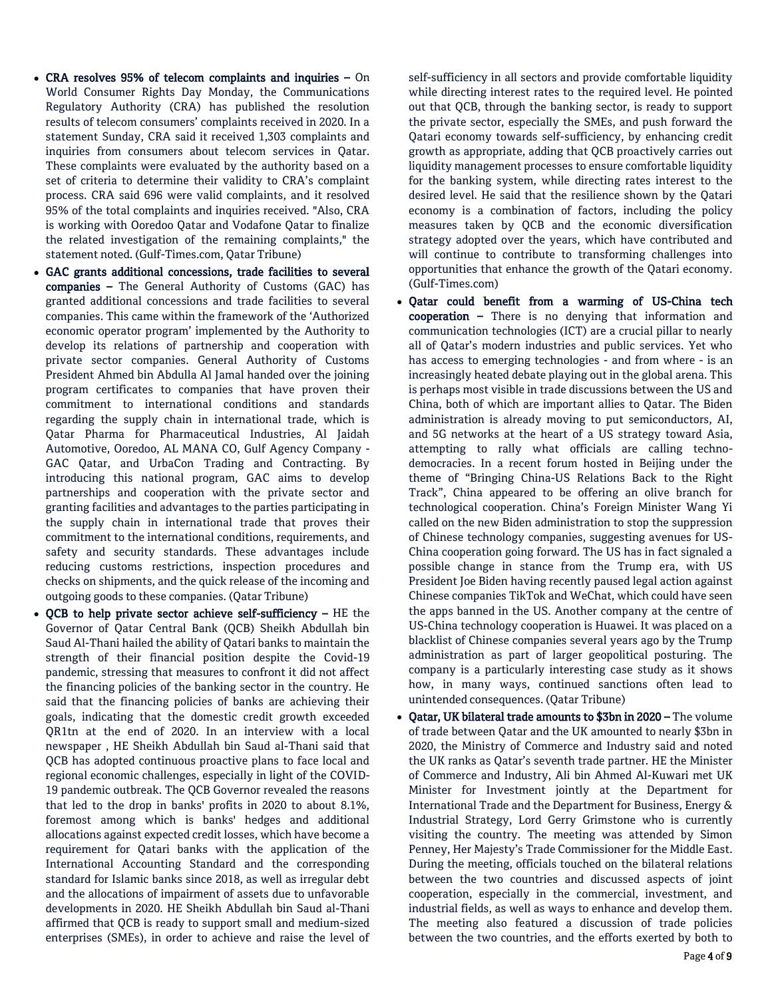- CRA resolves 95% of telecom complaints and inquiries On World Consumer Rights Day Monday, the Communications Regulatory Authority (CRA) has published the resolution results of telecom consumers' complaints received in 2020. In a statement Sunday, CRA said it received 1,303 complaints and inquiries from consumers about telecom services in Qatar. These complaints were evaluated by the authority based on a set of criteria to determine their validity to CRA's complaint process. CRA said 696 were valid complaints, and it resolved 95% of the total complaints and inquiries received. "Also, CRA is working with Ooredoo Qatar and Vodafone Qatar to finalize the related investigation of the remaining complaints," the statement noted. (Gulf-Times.com, Qatar Tribune)
- GAC grants additional concessions, trade facilities to several companies – The General Authority of Customs (GAC) has granted additional concessions and trade facilities to several companies. This came within the framework of the 'Authorized economic operator program' implemented by the Authority to develop its relations of partnership and cooperation with private sector companies. General Authority of Customs President Ahmed bin Abdulla Al Jamal handed over the joining program certificates to companies that have proven their commitment to international conditions and standards regarding the supply chain in international trade, which is Qatar Pharma for Pharmaceutical Industries, Al Jaidah Automotive, Ooredoo, AL MANA CO, Gulf Agency Company - GAC Qatar, and UrbaCon Trading and Contracting. By introducing this national program, GAC aims to develop partnerships and cooperation with the private sector and granting facilities and advantages to the parties participating in the supply chain in international trade that proves their commitment to the international conditions, requirements, and safety and security standards. These advantages include reducing customs restrictions, inspection procedures and checks on shipments, and the quick release of the incoming and outgoing goods to these companies. (Qatar Tribune)
- QCB to help private sector achieve self-sufficiency HE the Governor of Qatar Central Bank (QCB) Sheikh Abdullah bin Saud Al-Thani hailed the ability of Qatari banks to maintain the strength of their financial position despite the Covid-19 pandemic, stressing that measures to confront it did not affect the financing policies of the banking sector in the country. He said that the financing policies of banks are achieving their goals, indicating that the domestic credit growth exceeded QR1tn at the end of 2020. In an interview with a local newspaper , HE Sheikh Abdullah bin Saud al-Thani said that QCB has adopted continuous proactive plans to face local and regional economic challenges, especially in light of the COVID-19 pandemic outbreak. The QCB Governor revealed the reasons that led to the drop in banks' profits in 2020 to about 8.1%, foremost among which is banks' hedges and additional allocations against expected credit losses, which have become a requirement for Qatari banks with the application of the International Accounting Standard and the corresponding standard for Islamic banks since 2018, as well as irregular debt and the allocations of impairment of assets due to unfavorable developments in 2020. HE Sheikh Abdullah bin Saud al-Thani affirmed that QCB is ready to support small and medium-sized enterprises (SMEs), in order to achieve and raise the level of

self-sufficiency in all sectors and provide comfortable liquidity while directing interest rates to the required level. He pointed out that QCB, through the banking sector, is ready to support the private sector, especially the SMEs, and push forward the Qatari economy towards self-sufficiency, by enhancing credit growth as appropriate, adding that QCB proactively carries out liquidity management processes to ensure comfortable liquidity for the banking system, while directing rates interest to the desired level. He said that the resilience shown by the Qatari economy is a combination of factors, including the policy measures taken by QCB and the economic diversification strategy adopted over the years, which have contributed and will continue to contribute to transforming challenges into opportunities that enhance the growth of the Qatari economy. (Gulf-Times.com)

- Qatar could benefit from a warming of US-China tech cooperation – There is no denying that information and communication technologies (ICT) are a crucial pillar to nearly all of Qatar's modern industries and public services. Yet who has access to emerging technologies - and from where - is an increasingly heated debate playing out in the global arena. This is perhaps most visible in trade discussions between the US and China, both of which are important allies to Qatar. The Biden administration is already moving to put semiconductors, AI, and 5G networks at the heart of a US strategy toward Asia, attempting to rally what officials are calling technodemocracies. In a recent forum hosted in Beijing under the theme of "Bringing China-US Relations Back to the Right Track", China appeared to be offering an olive branch for technological cooperation. China's Foreign Minister Wang Yi called on the new Biden administration to stop the suppression of Chinese technology companies, suggesting avenues for US-China cooperation going forward. The US has in fact signaled a possible change in stance from the Trump era, with US President Joe Biden having recently paused legal action against Chinese companies TikTok and WeChat, which could have seen the apps banned in the US. Another company at the centre of US-China technology cooperation is Huawei. It was placed on a blacklist of Chinese companies several years ago by the Trump administration as part of larger geopolitical posturing. The company is a particularly interesting case study as it shows how, in many ways, continued sanctions often lead to unintended consequences. (Qatar Tribune)
- Qatar, UK bilateral trade amounts to \$3bn in 2020 The volume of trade between Qatar and the UK amounted to nearly \$3bn in 2020, the Ministry of Commerce and Industry said and noted the UK ranks as Qatar's seventh trade partner. HE the Minister of Commerce and Industry, Ali bin Ahmed Al-Kuwari met UK Minister for Investment jointly at the Department for International Trade and the Department for Business, Energy & Industrial Strategy, Lord Gerry Grimstone who is currently visiting the country. The meeting was attended by Simon Penney, Her Majesty's Trade Commissioner for the Middle East. During the meeting, officials touched on the bilateral relations between the two countries and discussed aspects of joint cooperation, especially in the commercial, investment, and industrial fields, as well as ways to enhance and develop them. The meeting also featured a discussion of trade policies between the two countries, and the efforts exerted by both to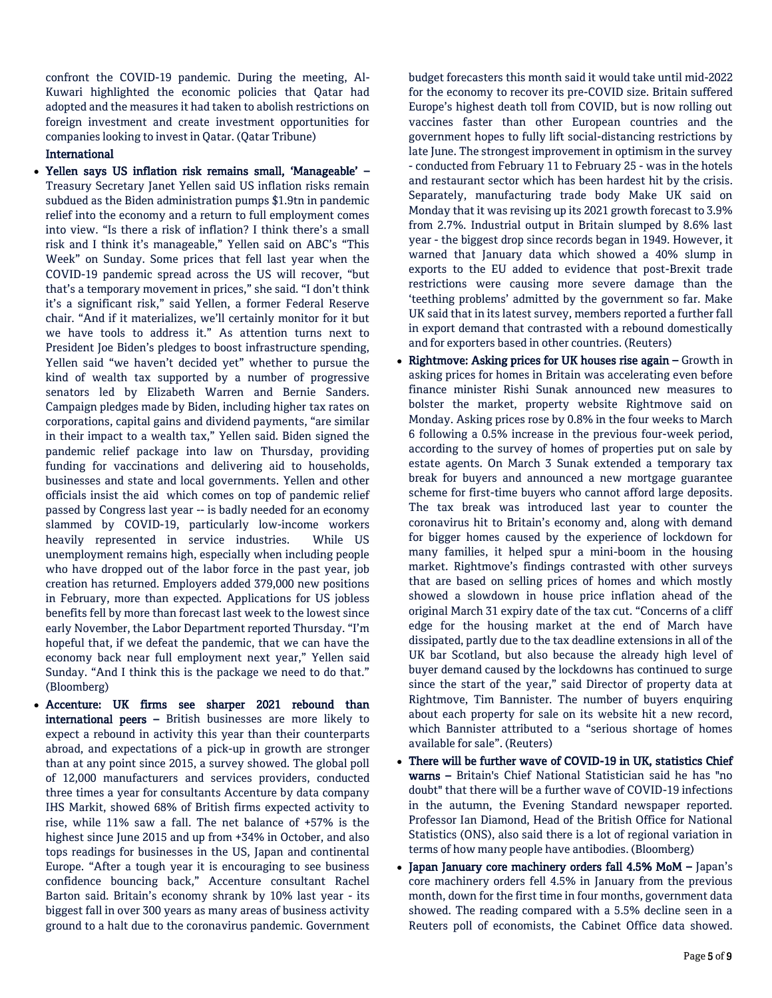confront the COVID-19 pandemic. During the meeting, Al-Kuwari highlighted the economic policies that Qatar had adopted and the measures it had taken to abolish restrictions on foreign investment and create investment opportunities for companies looking to invest in Qatar. (Qatar Tribune)

# International

- Yellen says US inflation risk remains small, 'Manageable' Treasury Secretary Janet Yellen said US inflation risks remain subdued as the Biden administration pumps \$1.9tn in pandemic relief into the economy and a return to full employment comes into view. "Is there a risk of inflation? I think there's a small risk and I think it's manageable," Yellen said on ABC's "This Week" on Sunday. Some prices that fell last year when the COVID-19 pandemic spread across the US will recover, "but that's a temporary movement in prices," she said. "I don't think it's a significant risk," said Yellen, a former Federal Reserve chair. "And if it materializes, we'll certainly monitor for it but we have tools to address it." As attention turns next to President Joe Biden's pledges to boost infrastructure spending, Yellen said "we haven't decided yet" whether to pursue the kind of wealth tax supported by a number of progressive senators led by Elizabeth Warren and Bernie Sanders. Campaign pledges made by Biden, including higher tax rates on corporations, capital gains and dividend payments, "are similar in their impact to a wealth tax," Yellen said. Biden signed the pandemic relief package into law on Thursday, providing funding for vaccinations and delivering aid to households, businesses and state and local governments. Yellen and other officials insist the aid which comes on top of pandemic relief passed by Congress last year -- is badly needed for an economy slammed by COVID-19, particularly low-income workers heavily represented in service industries. While US unemployment remains high, especially when including people who have dropped out of the labor force in the past year, job creation has returned. Employers added 379,000 new positions in February, more than expected. Applications for US jobless benefits fell by more than forecast last week to the lowest since early November, the Labor Department reported Thursday. "I'm hopeful that, if we defeat the pandemic, that we can have the economy back near full employment next year," Yellen said Sunday. "And I think this is the package we need to do that." (Bloomberg)
- Accenture: UK firms see sharper 2021 rebound than international peers – British businesses are more likely to expect a rebound in activity this year than their counterparts abroad, and expectations of a pick-up in growth are stronger than at any point since 2015, a survey showed. The global poll of 12,000 manufacturers and services providers, conducted three times a year for consultants Accenture by data company IHS Markit, showed 68% of British firms expected activity to rise, while 11% saw a fall. The net balance of +57% is the highest since June 2015 and up from  $+34\%$  in October, and also tops readings for businesses in the US, Japan and continental Europe. "After a tough year it is encouraging to see business confidence bouncing back," Accenture consultant Rachel Barton said. Britain's economy shrank by 10% last year - its biggest fall in over 300 years as many areas of business activity ground to a halt due to the coronavirus pandemic. Government

budget forecasters this month said it would take until mid-2022 for the economy to recover its pre-COVID size. Britain suffered Europe's highest death toll from COVID, but is now rolling out vaccines faster than other European countries and the government hopes to fully lift social-distancing restrictions by late June. The strongest improvement in optimism in the survey - conducted from February 11 to February 25 - was in the hotels and restaurant sector which has been hardest hit by the crisis. Separately, manufacturing trade body Make UK said on Monday that it was revising up its 2021 growth forecast to 3.9% from 2.7%. Industrial output in Britain slumped by 8.6% last year - the biggest drop since records began in 1949. However, it warned that January data which showed a 40% slump in exports to the EU added to evidence that post-Brexit trade restrictions were causing more severe damage than the 'teething problems' admitted by the government so far. Make UK said that in its latest survey, members reported a further fall in export demand that contrasted with a rebound domestically and for exporters based in other countries. (Reuters)

- Rightmove: Asking prices for UK houses rise again Growth in asking prices for homes in Britain was accelerating even before finance minister Rishi Sunak announced new measures to bolster the market, property website Rightmove said on Monday. Asking prices rose by 0.8% in the four weeks to March 6 following a 0.5% increase in the previous four-week period, according to the survey of homes of properties put on sale by estate agents. On March 3 Sunak extended a temporary tax break for buyers and announced a new mortgage guarantee scheme for first-time buyers who cannot afford large deposits. The tax break was introduced last year to counter the coronavirus hit to Britain's economy and, along with demand for bigger homes caused by the experience of lockdown for many families, it helped spur a mini-boom in the housing market. Rightmove's findings contrasted with other surveys that are based on selling prices of homes and which mostly showed a slowdown in house price inflation ahead of the original March 31 expiry date of the tax cut. "Concerns of a cliff edge for the housing market at the end of March have dissipated, partly due to the tax deadline extensions in all of the UK bar Scotland, but also because the already high level of buyer demand caused by the lockdowns has continued to surge since the start of the year," said Director of property data at Rightmove, Tim Bannister. The number of buyers enquiring about each property for sale on its website hit a new record, which Bannister attributed to a "serious shortage of homes available for sale". (Reuters)
- There will be further wave of COVID-19 in UK, statistics Chief warns – Britain's Chief National Statistician said he has "no doubt" that there will be a further wave of COVID-19 infections in the autumn, the Evening Standard newspaper reported. Professor Ian Diamond, Head of the British Office for National Statistics (ONS), also said there is a lot of regional variation in terms of how many people have antibodies. (Bloomberg)
- Japan January core machinery orders fall 4.5% MoM Japan's core machinery orders fell 4.5% in January from the previous month, down for the first time in four months, government data showed. The reading compared with a 5.5% decline seen in a Reuters poll of economists, the Cabinet Office data showed.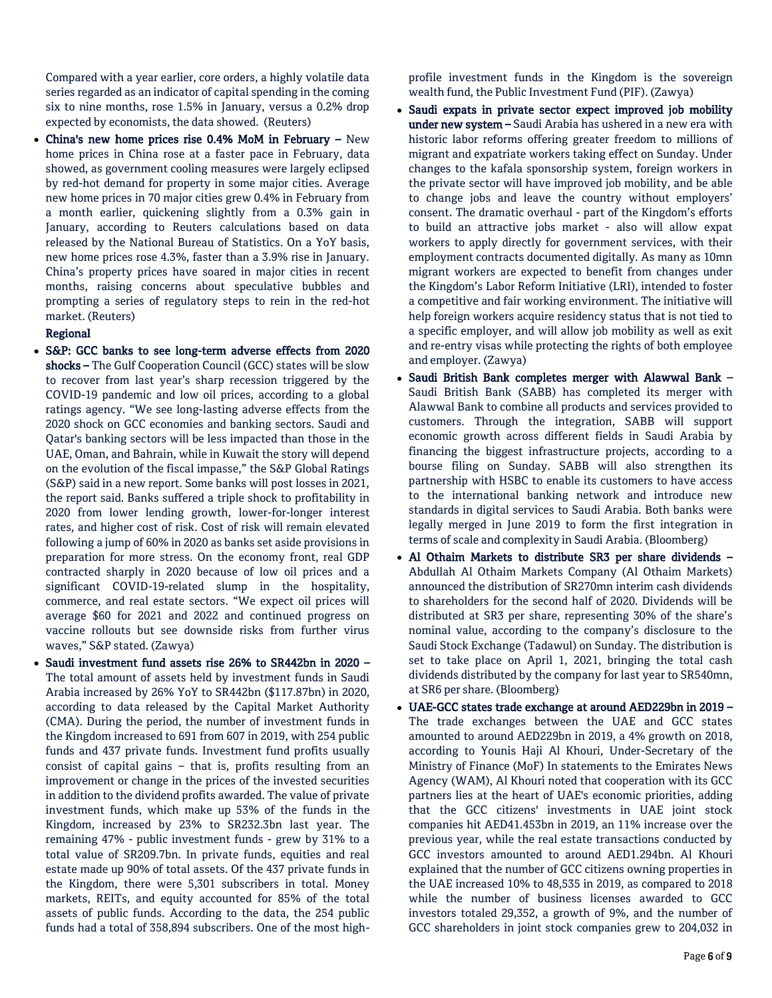Compared with a year earlier, core orders, a highly volatile data series regarded as an indicator of capital spending in the coming six to nine months, rose 1.5% in January, versus a 0.2% drop expected by economists, the data showed. (Reuters)

• China's new home prices rise 0.4% MoM in February – New home prices in China rose at a faster pace in February, data showed, as government cooling measures were largely eclipsed by red-hot demand for property in some major cities. Average new home prices in 70 major cities grew 0.4% in February from a month earlier, quickening slightly from a 0.3% gain in January, according to Reuters calculations based on data released by the National Bureau of Statistics. On a YoY basis, new home prices rose 4.3%, faster than a 3.9% rise in January. China's property prices have soared in major cities in recent months, raising concerns about speculative bubbles and prompting a series of regulatory steps to rein in the red-hot market. (Reuters)

# Regional

- S&P: GCC banks to see long-term adverse effects from 2020 shocks – The Gulf Cooperation Council (GCC) states will be slow to recover from last year's sharp recession triggered by the COVID-19 pandemic and low oil prices, according to a global ratings agency. "We see long-lasting adverse effects from the 2020 shock on GCC economies and banking sectors. Saudi and Qatar's banking sectors will be less impacted than those in the UAE, Oman, and Bahrain, while in Kuwait the story will depend on the evolution of the fiscal impasse," the S&P Global Ratings (S&P) said in a new report. Some banks will post losses in 2021, the report said. Banks suffered a triple shock to profitability in 2020 from lower lending growth, lower-for-longer interest rates, and higher cost of risk. Cost of risk will remain elevated following a jump of 60% in 2020 as banks set aside provisions in preparation for more stress. On the economy front, real GDP contracted sharply in 2020 because of low oil prices and a significant COVID-19-related slump in the hospitality, commerce, and real estate sectors. "We expect oil prices will average \$60 for 2021 and 2022 and continued progress on vaccine rollouts but see downside risks from further virus waves," S&P stated. (Zawya)
- Saudi investment fund assets rise 26% to SR442bn in 2020 The total amount of assets held by investment funds in Saudi Arabia increased by 26% YoY to SR442bn (\$117.87bn) in 2020, according to data released by the Capital Market Authority (CMA). During the period, the number of investment funds in the Kingdom increased to 691 from 607 in 2019, with 254 public funds and 437 private funds. Investment fund profits usually consist of capital gains – that is, profits resulting from an improvement or change in the prices of the invested securities in addition to the dividend profits awarded. The value of private investment funds, which make up 53% of the funds in the Kingdom, increased by 23% to SR232.3bn last year. The remaining 47% - public investment funds - grew by 31% to a total value of SR209.7bn. In private funds, equities and real estate made up 90% of total assets. Of the 437 private funds in the Kingdom, there were 5,301 subscribers in total. Money markets, REITs, and equity accounted for 85% of the total assets of public funds. According to the data, the 254 public funds had a total of 358,894 subscribers. One of the most high-

profile investment funds in the Kingdom is the sovereign wealth fund, the Public Investment Fund (PIF). (Zawya)

- Saudi expats in private sector expect improved job mobility under new system – Saudi Arabia has ushered in a new era with historic labor reforms offering greater freedom to millions of migrant and expatriate workers taking effect on Sunday. Under changes to the kafala sponsorship system, foreign workers in the private sector will have improved job mobility, and be able to change jobs and leave the country without employers' consent. The dramatic overhaul - part of the Kingdom's efforts to build an attractive jobs market - also will allow expat workers to apply directly for government services, with their employment contracts documented digitally. As many as 10mn migrant workers are expected to benefit from changes under the Kingdom's Labor Reform Initiative (LRI), intended to foster a competitive and fair working environment. The initiative will help foreign workers acquire residency status that is not tied to a specific employer, and will allow job mobility as well as exit and re-entry visas while protecting the rights of both employee and employer. (Zawya)
- Saudi British Bank completes merger with Alawwal Bank Saudi British Bank (SABB) has completed its merger with Alawwal Bank to combine all products and services provided to customers. Through the integration, SABB will support economic growth across different fields in Saudi Arabia by financing the biggest infrastructure projects, according to a bourse filing on Sunday. SABB will also strengthen its partnership with HSBC to enable its customers to have access to the international banking network and introduce new standards in digital services to Saudi Arabia. Both banks were legally merged in June 2019 to form the first integration in terms of scale and complexity in Saudi Arabia. (Bloomberg)
- Al Othaim Markets to distribute SR3 per share dividends Abdullah Al Othaim Markets Company (Al Othaim Markets) announced the distribution of SR270mn interim cash dividends to shareholders for the second half of 2020. Dividends will be distributed at SR3 per share, representing 30% of the share's nominal value, according to the company's disclosure to the Saudi Stock Exchange (Tadawul) on Sunday. The distribution is set to take place on April 1, 2021, bringing the total cash dividends distributed by the company for last year to SR540mn, at SR6 per share. (Bloomberg)
- UAE-GCC states trade exchange at around AED229bn in 2019 The trade exchanges between the UAE and GCC states amounted to around AED229bn in 2019, a 4% growth on 2018, according to Younis Haji Al Khouri, Under-Secretary of the Ministry of Finance (MoF) In statements to the Emirates News Agency (WAM), Al Khouri noted that cooperation with its GCC partners lies at the heart of UAE's economic priorities, adding that the GCC citizens' investments in UAE joint stock companies hit AED41.453bn in 2019, an 11% increase over the previous year, while the real estate transactions conducted by GCC investors amounted to around AED1.294bn. Al Khouri explained that the number of GCC citizens owning properties in the UAE increased 10% to 48,535 in 2019, as compared to 2018 while the number of business licenses awarded to GCC investors totaled 29,352, a growth of 9%, and the number of GCC shareholders in joint stock companies grew to 204,032 in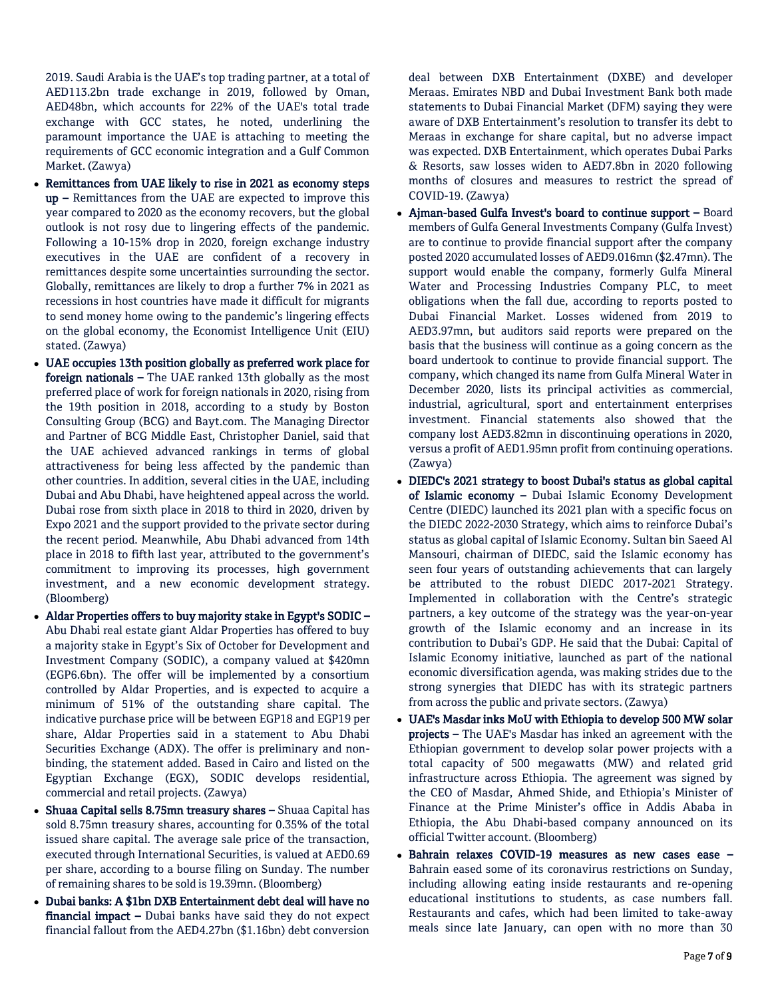2019. Saudi Arabia is the UAE's top trading partner, at a total of AED113.2bn trade exchange in 2019, followed by Oman, AED48bn, which accounts for 22% of the UAE's total trade exchange with GCC states, he noted, underlining the paramount importance the UAE is attaching to meeting the requirements of GCC economic integration and a Gulf Common Market. (Zawya)

- Remittances from UAE likely to rise in 2021 as economy steps up – Remittances from the UAE are expected to improve this year compared to 2020 as the economy recovers, but the global outlook is not rosy due to lingering effects of the pandemic. Following a 10-15% drop in 2020, foreign exchange industry executives in the UAE are confident of a recovery in remittances despite some uncertainties surrounding the sector. Globally, remittances are likely to drop a further 7% in 2021 as recessions in host countries have made it difficult for migrants to send money home owing to the pandemic's lingering effects on the global economy, the Economist Intelligence Unit (EIU) stated. (Zawya)
- UAE occupies 13th position globally as preferred work place for foreign nationals – The UAE ranked 13th globally as the most preferred place of work for foreign nationals in 2020, rising from the 19th position in 2018, according to a study by Boston Consulting Group (BCG) and Bayt.com. The Managing Director and Partner of BCG Middle East, Christopher Daniel, said that the UAE achieved advanced rankings in terms of global attractiveness for being less affected by the pandemic than other countries. In addition, several cities in the UAE, including Dubai and Abu Dhabi, have heightened appeal across the world. Dubai rose from sixth place in 2018 to third in 2020, driven by Expo 2021 and the support provided to the private sector during the recent period. Meanwhile, Abu Dhabi advanced from 14th place in 2018 to fifth last year, attributed to the government's commitment to improving its processes, high government investment, and a new economic development strategy. (Bloomberg)
- Aldar Properties offers to buy majority stake in Egypt's SODIC Abu Dhabi real estate giant Aldar Properties has offered to buy a majority stake in Egypt's Six of October for Development and Investment Company (SODIC), a company valued at \$420mn (EGP6.6bn). The offer will be implemented by a consortium controlled by Aldar Properties, and is expected to acquire a minimum of 51% of the outstanding share capital. The indicative purchase price will be between EGP18 and EGP19 per share, Aldar Properties said in a statement to Abu Dhabi Securities Exchange (ADX). The offer is preliminary and nonbinding, the statement added. Based in Cairo and listed on the Egyptian Exchange (EGX), SODIC develops residential, commercial and retail projects. (Zawya)
- Shuaa Capital sells 8.75mn treasury shares Shuaa Capital has sold 8.75mn treasury shares, accounting for 0.35% of the total issued share capital. The average sale price of the transaction, executed through International Securities, is valued at AED0.69 per share, according to a bourse filing on Sunday. The number of remaining shares to be sold is 19.39mn. (Bloomberg)
- Dubai banks: A \$1bn DXB Entertainment debt deal will have no financial impact – Dubai banks have said they do not expect financial fallout from the AED4.27bn (\$1.16bn) debt conversion

deal between DXB Entertainment (DXBE) and developer Meraas. Emirates NBD and Dubai Investment Bank both made statements to Dubai Financial Market (DFM) saying they were aware of DXB Entertainment's resolution to transfer its debt to Meraas in exchange for share capital, but no adverse impact was expected. DXB Entertainment, which operates Dubai Parks & Resorts, saw losses widen to AED7.8bn in 2020 following months of closures and measures to restrict the spread of COVID-19. (Zawya)

- Ajman-based Gulfa Invest's board to continue support Board members of Gulfa General Investments Company (Gulfa Invest) are to continue to provide financial support after the company posted 2020 accumulated losses of AED9.016mn (\$2.47mn). The support would enable the company, formerly Gulfa Mineral Water and Processing Industries Company PLC, to meet obligations when the fall due, according to reports posted to Dubai Financial Market. Losses widened from 2019 to AED3.97mn, but auditors said reports were prepared on the basis that the business will continue as a going concern as the board undertook to continue to provide financial support. The company, which changed its name from Gulfa Mineral Water in December 2020, lists its principal activities as commercial, industrial, agricultural, sport and entertainment enterprises investment. Financial statements also showed that the company lost AED3.82mn in discontinuing operations in 2020, versus a profit of AED1.95mn profit from continuing operations. (Zawya)
- DIEDC's 2021 strategy to boost Dubai's status as global capital of Islamic economy – Dubai Islamic Economy Development Centre (DIEDC) launched its 2021 plan with a specific focus on the DIEDC 2022-2030 Strategy, which aims to reinforce Dubai's status as global capital of Islamic Economy. Sultan bin Saeed Al Mansouri, chairman of DIEDC, said the Islamic economy has seen four years of outstanding achievements that can largely be attributed to the robust DIEDC 2017-2021 Strategy. Implemented in collaboration with the Centre's strategic partners, a key outcome of the strategy was the year-on-year growth of the Islamic economy and an increase in its contribution to Dubai's GDP. He said that the Dubai: Capital of Islamic Economy initiative, launched as part of the national economic diversification agenda, was making strides due to the strong synergies that DIEDC has with its strategic partners from across the public and private sectors. (Zawya)
- UAE's Masdar inks MoU with Ethiopia to develop 500 MW solar projects – The UAE's Masdar has inked an agreement with the Ethiopian government to develop solar power projects with a total capacity of 500 megawatts (MW) and related grid infrastructure across Ethiopia. The agreement was signed by the CEO of Masdar, Ahmed Shide, and Ethiopia's Minister of Finance at the Prime Minister's office in Addis Ababa in Ethiopia, the Abu Dhabi-based company announced on its official Twitter account. (Bloomberg)
- Bahrain relaxes COVID-19 measures as new cases ease Bahrain eased some of its coronavirus restrictions on Sunday, including allowing eating inside restaurants and re-opening educational institutions to students, as case numbers fall. Restaurants and cafes, which had been limited to take-away meals since late January, can open with no more than 30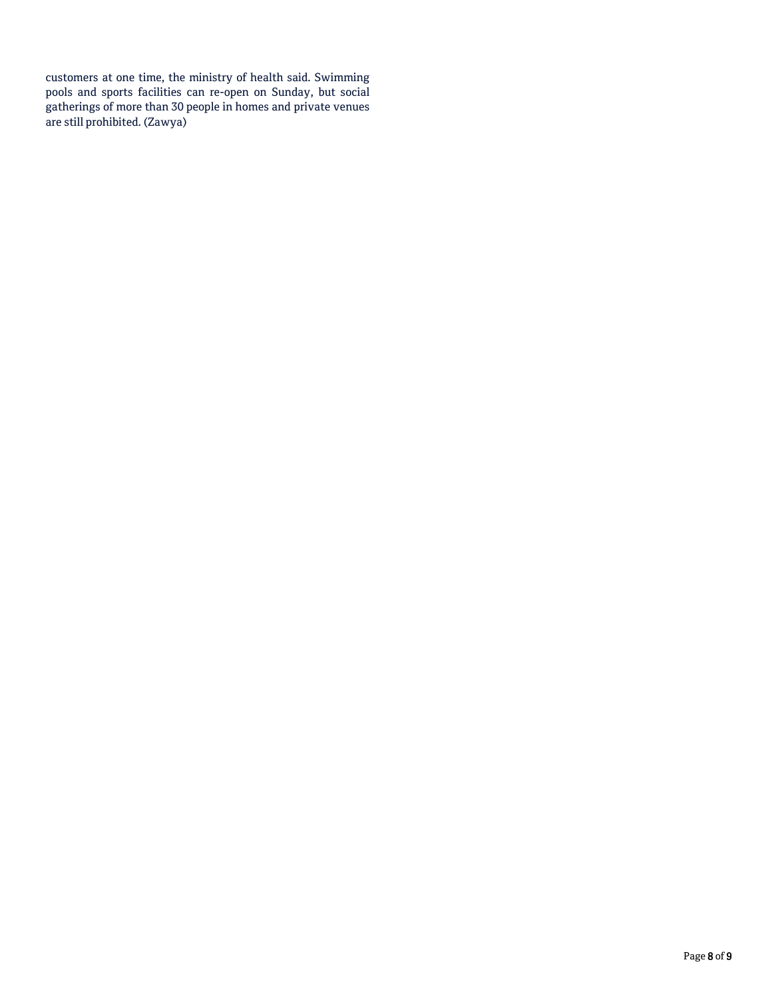customers at one time, the ministry of health said. Swimming pools and sports facilities can re-open on Sunday, but social gatherings of more than 30 people in homes and private venues are still prohibited. (Zawya)